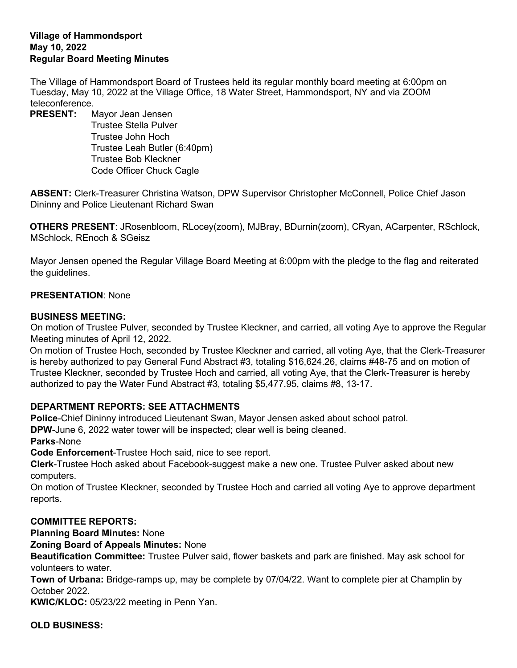## **Village of Hammondsport May 10, 2022 Regular Board Meeting Minutes**

The Village of Hammondsport Board of Trustees held its regular monthly board meeting at 6:00pm on Tuesday, May 10, 2022 at the Village Office, 18 Water Street, Hammondsport, NY and via ZOOM teleconference.

**PRESENT:** Mayor Jean Jensen Trustee Stella Pulver Trustee John Hoch Trustee Leah Butler (6:40pm) Trustee Bob Kleckner Code Officer Chuck Cagle

**ABSENT:** Clerk-Treasurer Christina Watson, DPW Supervisor Christopher McConnell, Police Chief Jason Dininny and Police Lieutenant Richard Swan

**OTHERS PRESENT**: JRosenbloom, RLocey(zoom), MJBray, BDurnin(zoom), CRyan, ACarpenter, RSchlock, MSchlock, REnoch & SGeisz

Mayor Jensen opened the Regular Village Board Meeting at 6:00pm with the pledge to the flag and reiterated the guidelines.

## **PRESENTATION**: None

## **BUSINESS MEETING:**

On motion of Trustee Pulver, seconded by Trustee Kleckner, and carried, all voting Aye to approve the Regular Meeting minutes of April 12, 2022.

On motion of Trustee Hoch, seconded by Trustee Kleckner and carried, all voting Aye, that the Clerk-Treasurer is hereby authorized to pay General Fund Abstract #3, totaling \$16,624.26, claims #48-75 and on motion of Trustee Kleckner, seconded by Trustee Hoch and carried, all voting Aye, that the Clerk-Treasurer is hereby authorized to pay the Water Fund Abstract #3, totaling \$5,477.95, claims #8, 13-17.

# **DEPARTMENT REPORTS: SEE ATTACHMENTS**

**Police**-Chief Dininny introduced Lieutenant Swan, Mayor Jensen asked about school patrol.

**DPW**-June 6, 2022 water tower will be inspected; clear well is being cleaned.

**Parks**-None

**Code Enforcement**-Trustee Hoch said, nice to see report.

**Clerk**-Trustee Hoch asked about Facebook-suggest make a new one. Trustee Pulver asked about new computers.

On motion of Trustee Kleckner, seconded by Trustee Hoch and carried all voting Aye to approve department reports.

# **COMMITTEE REPORTS:**

**Planning Board Minutes:** None

**Zoning Board of Appeals Minutes:** None

**Beautification Committee:** Trustee Pulver said, flower baskets and park are finished. May ask school for volunteers to water.

**Town of Urbana:** Bridge-ramps up, may be complete by 07/04/22. Want to complete pier at Champlin by October 2022.

**KWIC/KLOC:** 05/23/22 meeting in Penn Yan.

**OLD BUSINESS:**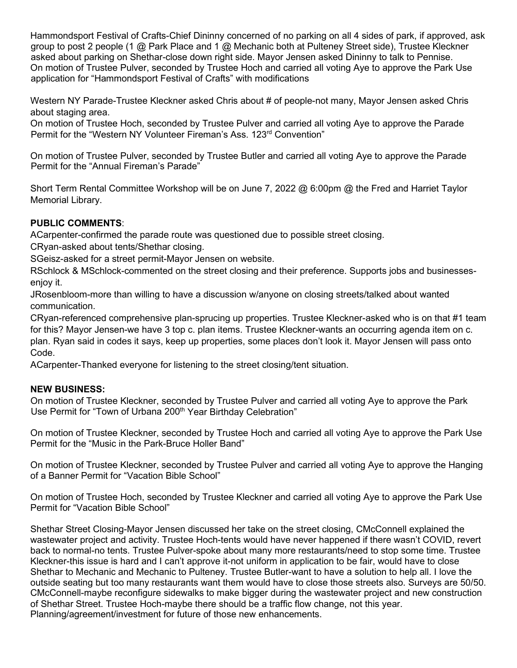Hammondsport Festival of Crafts-Chief Dininny concerned of no parking on all 4 sides of park, if approved, ask group to post 2 people (1 @ Park Place and 1 @ Mechanic both at Pulteney Street side), Trustee Kleckner asked about parking on Shethar-close down right side. Mayor Jensen asked Dininny to talk to Pennise. On motion of Trustee Pulver, seconded by Trustee Hoch and carried all voting Aye to approve the Park Use application for "Hammondsport Festival of Crafts" with modifications

Western NY Parade-Trustee Kleckner asked Chris about # of people-not many, Mayor Jensen asked Chris about staging area.

On motion of Trustee Hoch, seconded by Trustee Pulver and carried all voting Aye to approve the Parade Permit for the "Western NY Volunteer Fireman's Ass. 123<sup>rd</sup> Convention"

On motion of Trustee Pulver, seconded by Trustee Butler and carried all voting Aye to approve the Parade Permit for the "Annual Fireman's Parade"

Short Term Rental Committee Workshop will be on June 7, 2022 @ 6:00pm @ the Fred and Harriet Taylor Memorial Library.

# **PUBLIC COMMENTS**:

ACarpenter-confirmed the parade route was questioned due to possible street closing.

CRyan-asked about tents/Shethar closing.

SGeisz-asked for a street permit-Mayor Jensen on website.

RSchlock & MSchlock-commented on the street closing and their preference. Supports jobs and businessesenjoy it.

JRosenbloom-more than willing to have a discussion w/anyone on closing streets/talked about wanted communication.

CRyan-referenced comprehensive plan-sprucing up properties. Trustee Kleckner-asked who is on that #1 team for this? Mayor Jensen-we have 3 top c. plan items. Trustee Kleckner-wants an occurring agenda item on c. plan. Ryan said in codes it says, keep up properties, some places don't look it. Mayor Jensen will pass onto Code.

ACarpenter-Thanked everyone for listening to the street closing/tent situation.

## **NEW BUSINESS:**

On motion of Trustee Kleckner, seconded by Trustee Pulver and carried all voting Aye to approve the Park Use Permit for "Town of Urbana 200<sup>th</sup> Year Birthday Celebration"

On motion of Trustee Kleckner, seconded by Trustee Hoch and carried all voting Aye to approve the Park Use Permit for the "Music in the Park-Bruce Holler Band"

On motion of Trustee Kleckner, seconded by Trustee Pulver and carried all voting Aye to approve the Hanging of a Banner Permit for "Vacation Bible School"

On motion of Trustee Hoch, seconded by Trustee Kleckner and carried all voting Aye to approve the Park Use Permit for "Vacation Bible School"

Shethar Street Closing-Mayor Jensen discussed her take on the street closing, CMcConnell explained the wastewater project and activity. Trustee Hoch-tents would have never happened if there wasn't COVID, revert back to normal-no tents. Trustee Pulver-spoke about many more restaurants/need to stop some time. Trustee Kleckner-this issue is hard and I can't approve it-not uniform in application to be fair, would have to close Shethar to Mechanic and Mechanic to Pulteney. Trustee Butler-want to have a solution to help all. I love the outside seating but too many restaurants want them would have to close those streets also. Surveys are 50/50. CMcConnell-maybe reconfigure sidewalks to make bigger during the wastewater project and new construction of Shethar Street. Trustee Hoch-maybe there should be a traffic flow change, not this year. Planning/agreement/investment for future of those new enhancements.